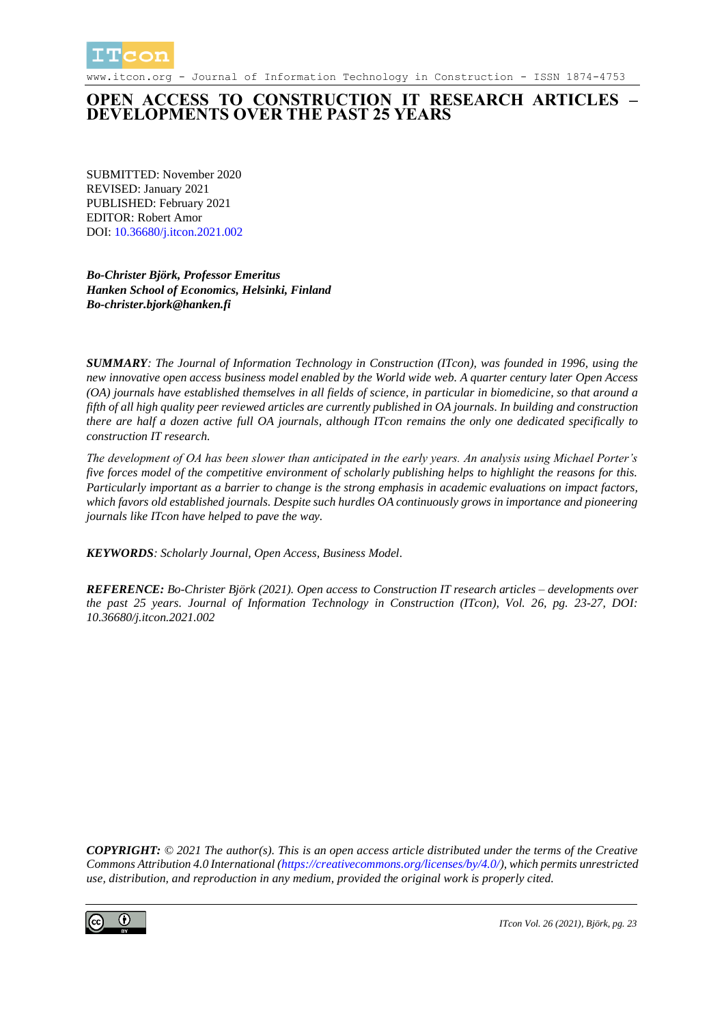

www.itcon.org - Journal of Information Technology in Construction - ISSN 1874-4753

#### **OPEN ACCESS TO CONSTRUCTION IT RESEARCH ARTICLES – DEVELOPMENTS OVER THE PAST 25 YEARS**

SUBMITTED: November 2020 REVISED: January 2021 PUBLISHED: February 2021 EDITOR: Robert Amor DOI: [10.36680/j.itcon.2021.002](https://dx.doi.org/10.36680/j.itcon.2021.002)

*Bo-Christer Björk, Professor Emeritus Hanken School of Economics, Helsinki, Finland Bo-christer.bjork@hanken.fi*

*SUMMARY: The Journal of Information Technology in Construction (ITcon), was founded in 1996, using the new innovative open access business model enabled by the World wide web. A quarter century later Open Access (OA) journals have established themselves in all fields of science, in particular in biomedicine, so that around a fifth of all high quality peer reviewed articles are currently published in OA journals. In building and construction there are half a dozen active full OA journals, although ITcon remains the only one dedicated specifically to construction IT research.* 

*The development of OA has been slower than anticipated in the early years. An analysis using Michael Porter's five forces model of the competitive environment of scholarly publishing helps to highlight the reasons for this. Particularly important as a barrier to change is the strong emphasis in academic evaluations on impact factors, which favors old established journals. Despite such hurdles OA continuously grows in importance and pioneering journals like ITcon have helped to pave the way.*

*KEYWORDS: Scholarly Journal, Open Access, Business Model.*

*REFERENCE: Bo-Christer Björk (2021). Open access to Construction IT research articles – developments over the past 25 years. Journal of Information Technology in Construction (ITcon), Vol. 26, pg. 23-27, DOI: 10.36680/j.itcon.2021.002*

*COPYRIGHT: © 2021 The author(s). This is an open access article distributed under the terms of the Creative Commons Attribution 4.0 International [\(https://creativecommons.org/licenses/by/4.0/\)](https://creativecommons.org/licenses/by/4.0/), which permits unrestricted use, distribution, and reproduction in any medium, provided the original work is properly cited.*

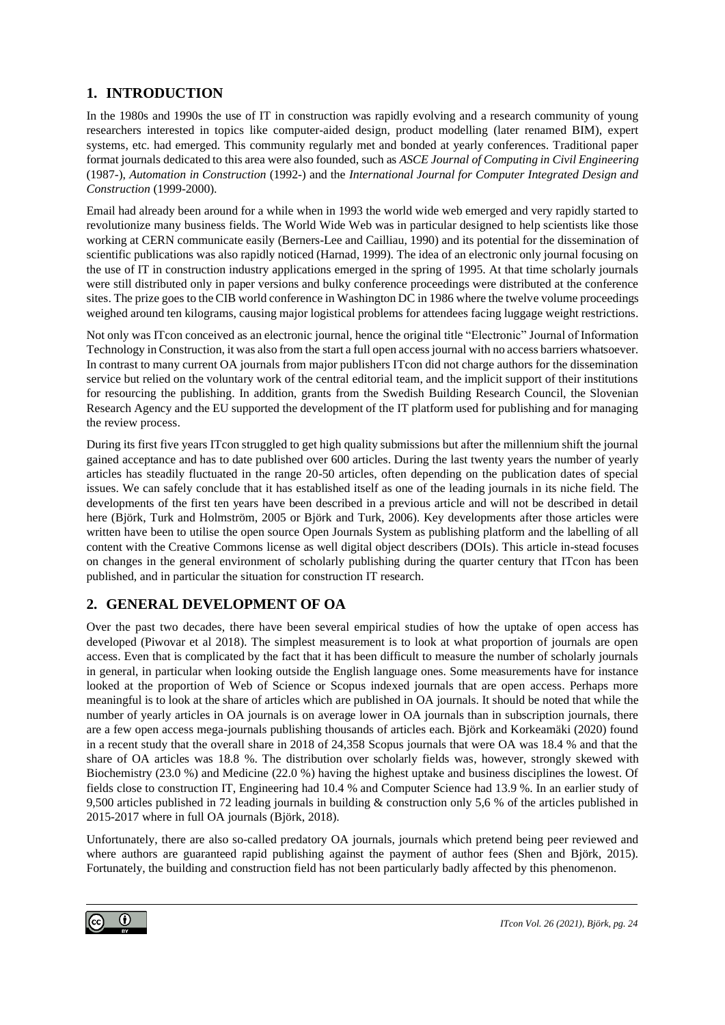### **1. INTRODUCTION**

In the 1980s and 1990s the use of IT in construction was rapidly evolving and a research community of young researchers interested in topics like computer-aided design, product modelling (later renamed BIM), expert systems, etc. had emerged. This community regularly met and bonded at yearly conferences. Traditional paper format journals dedicated to this area were also founded, such as *ASCE Journal of Computing in Civil Engineering*  (1987-), *Automation in Construction* (1992-) and the *International Journal for Computer Integrated Design and Construction* (1999-2000).

Email had already been around for a while when in 1993 the world wide web emerged and very rapidly started to revolutionize many business fields. The World Wide Web was in particular designed to help scientists like those working at CERN communicate easily (Berners-Lee and Cailliau, 1990) and its potential for the dissemination of scientific publications was also rapidly noticed (Harnad, 1999). The idea of an electronic only journal focusing on the use of IT in construction industry applications emerged in the spring of 1995. At that time scholarly journals were still distributed only in paper versions and bulky conference proceedings were distributed at the conference sites. The prize goes to the CIB world conference in Washington DC in 1986 where the twelve volume proceedings weighed around ten kilograms, causing major logistical problems for attendees facing luggage weight restrictions.

Not only was ITcon conceived as an electronic journal, hence the original title "Electronic" Journal of Information Technology in Construction, it was also from the start a full open access journal with no access barriers whatsoever. In contrast to many current OA journals from major publishers ITcon did not charge authors for the dissemination service but relied on the voluntary work of the central editorial team, and the implicit support of their institutions for resourcing the publishing. In addition, grants from the Swedish Building Research Council, the Slovenian Research Agency and the EU supported the development of the IT platform used for publishing and for managing the review process.

During its first five years ITcon struggled to get high quality submissions but after the millennium shift the journal gained acceptance and has to date published over 600 articles. During the last twenty years the number of yearly articles has steadily fluctuated in the range 20-50 articles, often depending on the publication dates of special issues. We can safely conclude that it has established itself as one of the leading journals in its niche field. The developments of the first ten years have been described in a previous article and will not be described in detail here (Björk, Turk and Holmström, 2005 or Björk and Turk, 2006). Key developments after those articles were written have been to utilise the open source Open Journals System as publishing platform and the labelling of all content with the Creative Commons license as well digital object describers (DOIs). This article in-stead focuses on changes in the general environment of scholarly publishing during the quarter century that ITcon has been published, and in particular the situation for construction IT research.

# **2. GENERAL DEVELOPMENT OF OA**

Over the past two decades, there have been several empirical studies of how the uptake of open access has developed (Piwovar et al 2018). The simplest measurement is to look at what proportion of journals are open access. Even that is complicated by the fact that it has been difficult to measure the number of scholarly journals in general, in particular when looking outside the English language ones. Some measurements have for instance looked at the proportion of Web of Science or Scopus indexed journals that are open access. Perhaps more meaningful is to look at the share of articles which are published in OA journals. It should be noted that while the number of yearly articles in OA journals is on average lower in OA journals than in subscription journals, there are a few open access mega-journals publishing thousands of articles each. Björk and Korkeamäki (2020) found in a recent study that the overall share in 2018 of 24,358 Scopus journals that were OA was 18.4 % and that the share of OA articles was 18.8 %. The distribution over scholarly fields was, however, strongly skewed with Biochemistry (23.0 %) and Medicine (22.0 %) having the highest uptake and business disciplines the lowest. Of fields close to construction IT, Engineering had 10.4 % and Computer Science had 13.9 %. In an earlier study of 9,500 articles published in 72 leading journals in building & construction only 5,6 % of the articles published in 2015-2017 where in full OA journals (Björk, 2018).

Unfortunately, there are also so-called predatory OA journals, journals which pretend being peer reviewed and where authors are guaranteed rapid publishing against the payment of author fees (Shen and Björk, 2015). Fortunately, the building and construction field has not been particularly badly affected by this phenomenon.

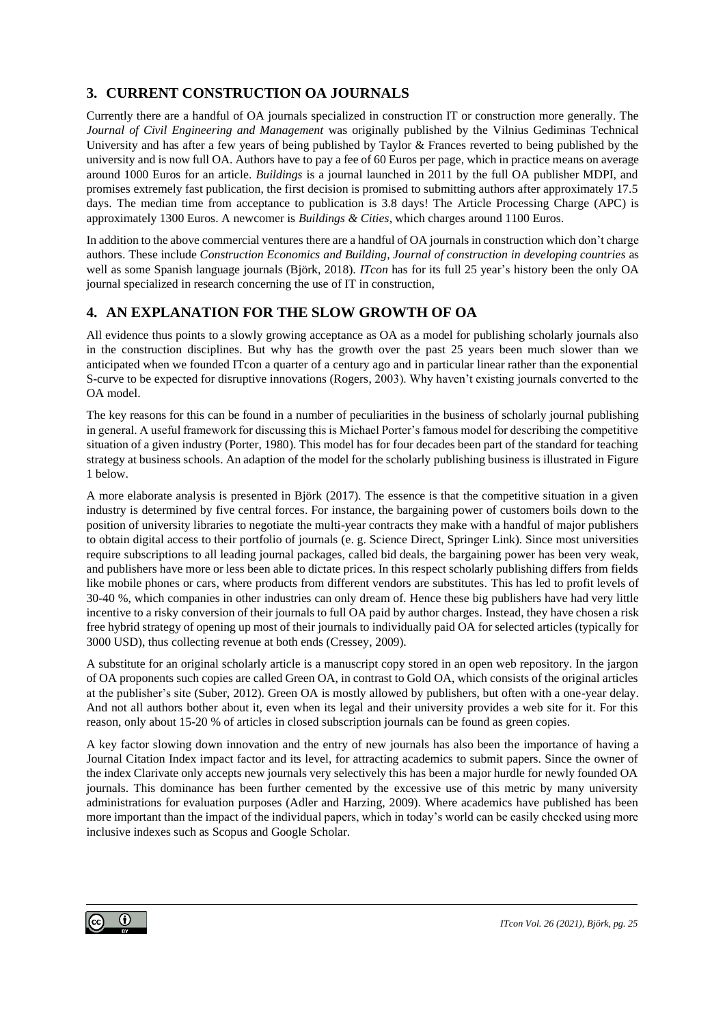### **3. CURRENT CONSTRUCTION OA JOURNALS**

Currently there are a handful of OA journals specialized in construction IT or construction more generally. The *Journal of Civil Engineering and Management* was originally published by the Vilnius Gediminas Technical University and has after a few years of being published by Taylor & Frances reverted to being published by the university and is now full OA. Authors have to pay a fee of 60 Euros per page, which in practice means on average around 1000 Euros for an article. *Buildings* is a journal launched in 2011 by the full OA publisher MDPI, and promises extremely fast publication, the first decision is promised to submitting authors after approximately 17.5 days. The median time from acceptance to publication is 3.8 days! The Article Processing Charge (APC) is approximately 1300 Euros. A newcomer is *Buildings & Cities*, which charges around 1100 Euros.

In addition to the above commercial ventures there are a handful of OA journals in construction which don't charge authors. These include *Construction Economics and Building*, *Journal of construction in developing countries* as well as some Spanish language journals (Björk, 2018). *ITcon* has for its full 25 year's history been the only OA journal specialized in research concerning the use of IT in construction,

#### **4. AN EXPLANATION FOR THE SLOW GROWTH OF OA**

All evidence thus points to a slowly growing acceptance as OA as a model for publishing scholarly journals also in the construction disciplines. But why has the growth over the past 25 years been much slower than we anticipated when we founded ITcon a quarter of a century ago and in particular linear rather than the exponential S-curve to be expected for disruptive innovations (Rogers, 2003). Why haven't existing journals converted to the OA model.

The key reasons for this can be found in a number of peculiarities in the business of scholarly journal publishing in general. A useful framework for discussing this is Michael Porter's famous model for describing the competitive situation of a given industry (Porter, 1980). This model has for four decades been part of the standard for teaching strategy at business schools. An adaption of the model for the scholarly publishing business is illustrated in Figure 1 below.

A more elaborate analysis is presented in Björk (2017). The essence is that the competitive situation in a given industry is determined by five central forces. For instance, the bargaining power of customers boils down to the position of university libraries to negotiate the multi-year contracts they make with a handful of major publishers to obtain digital access to their portfolio of journals (e. g. Science Direct, Springer Link). Since most universities require subscriptions to all leading journal packages, called bid deals, the bargaining power has been very weak, and publishers have more or less been able to dictate prices. In this respect scholarly publishing differs from fields like mobile phones or cars, where products from different vendors are substitutes. This has led to profit levels of 30-40 %, which companies in other industries can only dream of. Hence these big publishers have had very little incentive to a risky conversion of their journals to full OA paid by author charges. Instead, they have chosen a risk free hybrid strategy of opening up most of their journals to individually paid OA for selected articles (typically for 3000 USD), thus collecting revenue at both ends (Cressey, 2009).

A substitute for an original scholarly article is a manuscript copy stored in an open web repository. In the jargon of OA proponents such copies are called Green OA, in contrast to Gold OA, which consists of the original articles at the publisher's site (Suber, 2012). Green OA is mostly allowed by publishers, but often with a one-year delay. And not all authors bother about it, even when its legal and their university provides a web site for it. For this reason, only about 15-20 % of articles in closed subscription journals can be found as green copies.

A key factor slowing down innovation and the entry of new journals has also been the importance of having a Journal Citation Index impact factor and its level, for attracting academics to submit papers. Since the owner of the index Clarivate only accepts new journals very selectively this has been a major hurdle for newly founded OA journals. This dominance has been further cemented by the excessive use of this metric by many university administrations for evaluation purposes (Adler and Harzing, 2009). Where academics have published has been more important than the impact of the individual papers, which in today's world can be easily checked using more inclusive indexes such as Scopus and Google Scholar.

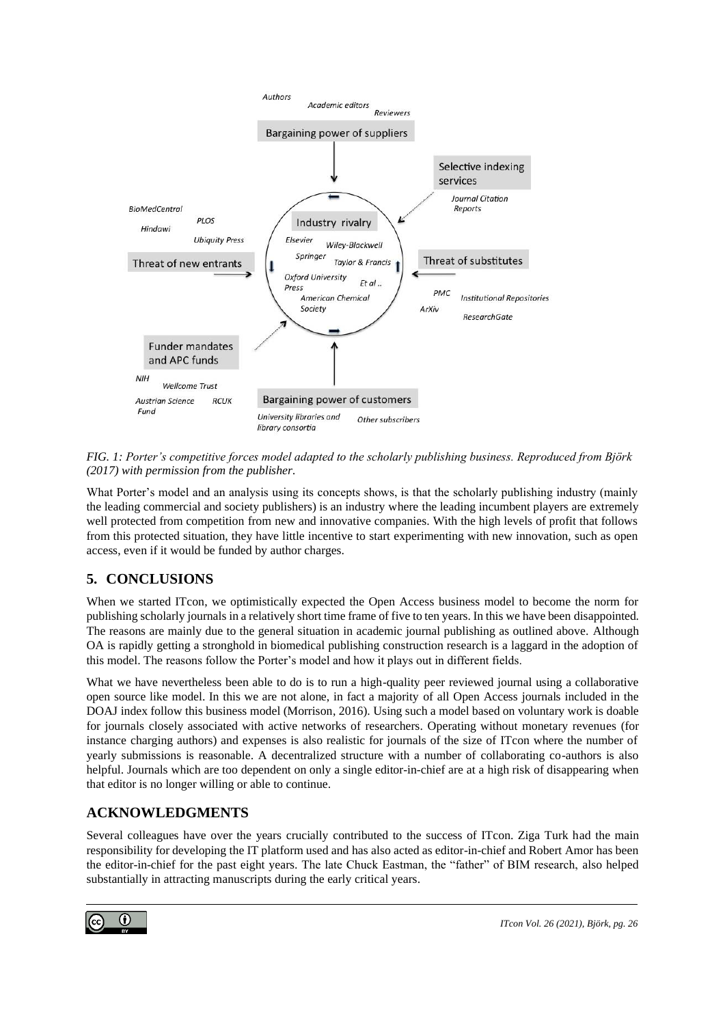

*FIG. 1: Porter's competitive forces model adapted to the scholarly publishing business. Reproduced from Björk (2017) with permission from the publisher.*

What Porter's model and an analysis using its concepts shows, is that the scholarly publishing industry (mainly the leading commercial and society publishers) is an industry where the leading incumbent players are extremely well protected from competition from new and innovative companies. With the high levels of profit that follows from this protected situation, they have little incentive to start experimenting with new innovation, such as open access, even if it would be funded by author charges.

# **5. CONCLUSIONS**

When we started ITcon, we optimistically expected the Open Access business model to become the norm for publishing scholarly journals in a relatively short time frame of five to ten years. In this we have been disappointed. The reasons are mainly due to the general situation in academic journal publishing as outlined above. Although OA is rapidly getting a stronghold in biomedical publishing construction research is a laggard in the adoption of this model. The reasons follow the Porter's model and how it plays out in different fields.

What we have nevertheless been able to do is to run a high-quality peer reviewed journal using a collaborative open source like model. In this we are not alone, in fact a majority of all Open Access journals included in the DOAJ index follow this business model (Morrison, 2016). Using such a model based on voluntary work is doable for journals closely associated with active networks of researchers. Operating without monetary revenues (for instance charging authors) and expenses is also realistic for journals of the size of ITcon where the number of yearly submissions is reasonable. A decentralized structure with a number of collaborating co-authors is also helpful. Journals which are too dependent on only a single editor-in-chief are at a high risk of disappearing when that editor is no longer willing or able to continue.

# **ACKNOWLEDGMENTS**

Several colleagues have over the years crucially contributed to the success of ITcon. Ziga Turk had the main responsibility for developing the IT platform used and has also acted as editor-in-chief and Robert Amor has been the editor-in-chief for the past eight years. The late Chuck Eastman, the "father" of BIM research, also helped substantially in attracting manuscripts during the early critical years.